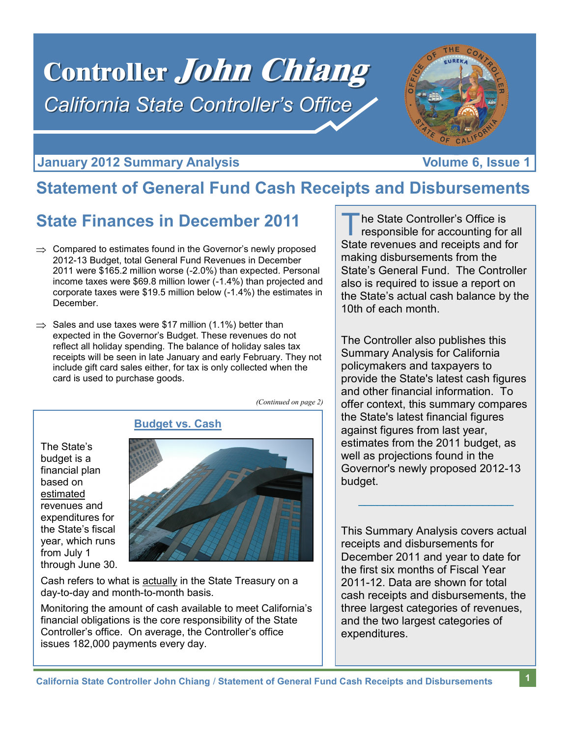# Controller John Chiang *California State Controller's Office*



### **January 2012 Summary Analysis Construction Construction Construction Volume 6, Issue 1**

# **Statement of General Fund Cash Receipts and Disbursements**

# **State Finances in December 2011**

- $\Rightarrow$  Compared to estimates found in the Governor's newly proposed 2012-13 Budget, total General Fund Revenues in December 2011 were \$165.2 million worse (-2.0%) than expected. Personal income taxes were \$69.8 million lower (-1.4%) than projected and corporate taxes were \$19.5 million below (-1.4%) the estimates in December.
- $\Rightarrow$  Sales and use taxes were \$17 million (1.1%) better than expected in the Governor's Budget. These revenues do not reflect all holiday spending. The balance of holiday sales tax receipts will be seen in late January and early February. They not include gift card sales either, for tax is only collected when the card is used to purchase goods.

*(Continued on page 2)*

The State's budget is a financial plan based on estimated revenues and expenditures for the State's fiscal year, which runs from July 1 through June 30.



Cash refers to what is actually in the State Treasury on a day-to-day and month-to-month basis.

Monitoring the amount of cash available to meet California's financial obligations is the core responsibility of the State Controller's office. On average, the Controller's office issues 182,000 payments every day.

T he State Controller's Office is responsible for accounting for all State revenues and receipts and for making disbursements from the State's General Fund. The Controller also is required to issue a report on the State's actual cash balance by the 10th of each month.

The Controller also publishes this Summary Analysis for California policymakers and taxpayers to provide the State's latest cash figures and other financial information. To offer context, this summary compares the State's latest financial figures against figures from last year, estimates from the 2011 budget, as well as projections found in the Governor's newly proposed 2012-13 budget.

This Summary Analysis covers actual receipts and disbursements for December 2011 and year to date for the first six months of Fiscal Year 2011-12. Data are shown for total cash receipts and disbursements, the three largest categories of revenues, and the two largest categories of expenditures.

 $\mathcal{L}=\mathcal{L}=\mathcal{L}=\mathcal{L}=\mathcal{L}=\mathcal{L}=\mathcal{L}=\mathcal{L}=\mathcal{L}=\mathcal{L}=\mathcal{L}=\mathcal{L}=\mathcal{L}=\mathcal{L}=\mathcal{L}=\mathcal{L}=\mathcal{L}=\mathcal{L}=\mathcal{L}=\mathcal{L}=\mathcal{L}=\mathcal{L}=\mathcal{L}=\mathcal{L}=\mathcal{L}=\mathcal{L}=\mathcal{L}=\mathcal{L}=\mathcal{L}=\mathcal{L}=\mathcal{L}=\mathcal{L}=\mathcal{L}=\mathcal{L}=\mathcal{L}=\mathcal{L}=\mathcal{$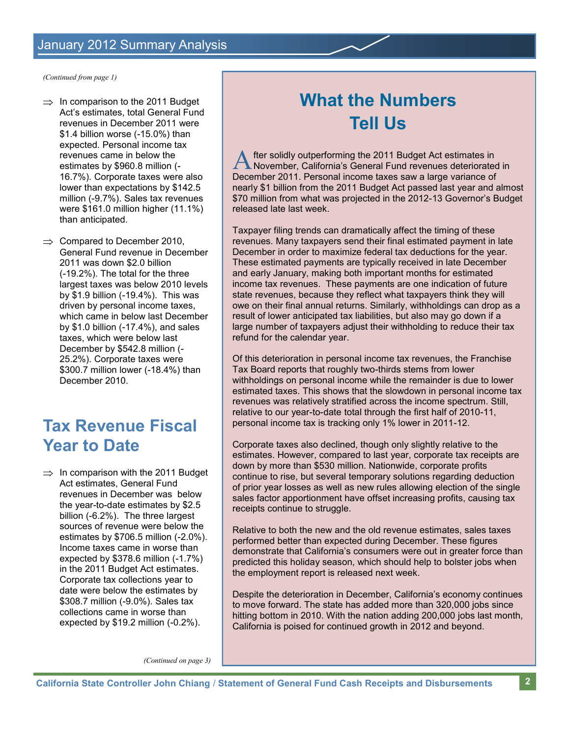*(Continued from page 1)*

- $\Rightarrow$  In comparison to the 2011 Budget Act's estimates, total General Fund revenues in December 2011 were \$1.4 billion worse (-15.0%) than expected. Personal income tax revenues came in below the estimates by \$960.8 million (- 16.7%). Corporate taxes were also lower than expectations by \$142.5 million (-9.7%). Sales tax revenues were \$161.0 million higher (11.1%) than anticipated.
- $\Rightarrow$  Compared to December 2010, General Fund revenue in December 2011 was down \$2.0 billion (-19.2%). The total for the three largest taxes was below 2010 levels by \$1.9 billion (-19.4%). This was driven by personal income taxes, which came in below last December by \$1.0 billion (-17.4%), and sales taxes, which were below last December by \$542.8 million (- 25.2%). Corporate taxes were \$300.7 million lower (-18.4%) than December 2010.

# **Tax Revenue Fiscal Year to Date**

 $\Rightarrow$  In comparison with the 2011 Budget Act estimates, General Fund revenues in December was below the year-to-date estimates by \$2.5 billion (-6.2%). The three largest sources of revenue were below the estimates by \$706.5 million (-2.0%). Income taxes came in worse than expected by \$378.6 million (-1.7%) in the 2011 Budget Act estimates. Corporate tax collections year to date were below the estimates by \$308.7 million (-9.0%). Sales tax collections came in worse than expected by \$19.2 million (-0.2%).

# **What the Numbers Tell Us**

A fter solidly outperforming the 2011 Budget Act estimates in<br>November, California's General Fund revenues deteriorated<br>December 2011. Personal income taxes saw a large variance of fter solidly outperforming the 2011 Budget Act estimates in November, California's General Fund revenues deteriorated in nearly \$1 billion from the 2011 Budget Act passed last year and almost \$70 million from what was projected in the 2012-13 Governor's Budget released late last week.

Taxpayer filing trends can dramatically affect the timing of these revenues. Many taxpayers send their final estimated payment in late December in order to maximize federal tax deductions for the year. These estimated payments are typically received in late December and early January, making both important months for estimated income tax revenues. These payments are one indication of future state revenues, because they reflect what taxpayers think they will owe on their final annual returns. Similarly, withholdings can drop as a result of lower anticipated tax liabilities, but also may go down if a large number of taxpayers adjust their withholding to reduce their tax refund for the calendar year.

Of this deterioration in personal income tax revenues, the Franchise Tax Board reports that roughly two-thirds stems from lower withholdings on personal income while the remainder is due to lower estimated taxes. This shows that the slowdown in personal income tax revenues was relatively stratified across the income spectrum. Still, relative to our year-to-date total through the first half of 2010-11, personal income tax is tracking only 1% lower in 2011-12.

Corporate taxes also declined, though only slightly relative to the estimates. However, compared to last year, corporate tax receipts are down by more than \$530 million. Nationwide, corporate profits continue to rise, but several temporary solutions regarding deduction of prior year losses as well as new rules allowing election of the single sales factor apportionment have offset increasing profits, causing tax receipts continue to struggle.

Relative to both the new and the old revenue estimates, sales taxes performed better than expected during December. These figures demonstrate that California's consumers were out in greater force than predicted this holiday season, which should help to bolster jobs when the employment report is released next week.

Despite the deterioration in December, California's economy continues to move forward. The state has added more than 320,000 jobs since hitting bottom in 2010. With the nation adding 200,000 jobs last month, California is poised for continued growth in 2012 and beyond.

*(Continued on page 3)*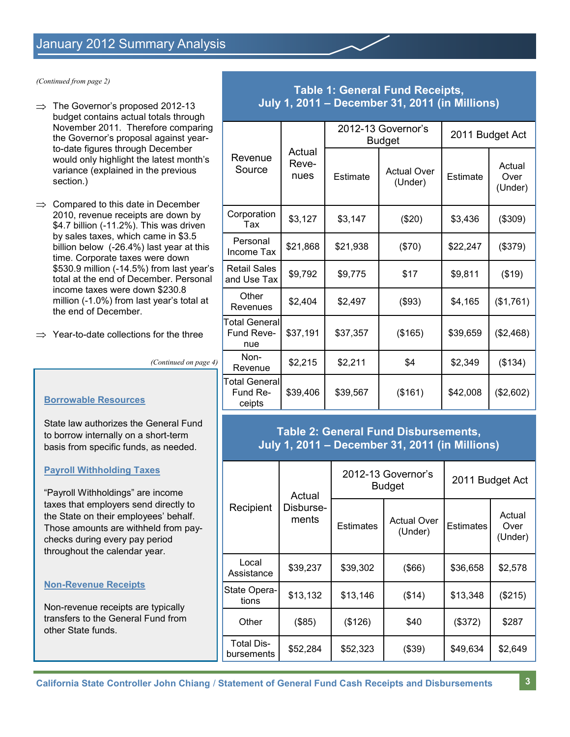*(Continued from page 2)*

- $\Rightarrow$  The Governor's proposed 2012-13 budget contains actual totals through November 2011. Therefore comparing the Governor's proposal against yearto-date figures through December would only highlight the latest month's variance (explained in the previous section.)
- $\Rightarrow$  Compared to this date in December 2010, revenue receipts are down by \$4.7 billion (-11.2%). This was driven by sales taxes, which came in \$3.5 billion below (-26.4%) last year at this time. Corporate taxes were down \$530.9 million (-14.5%) from last year's total at the end of December. Personal income taxes were down \$230.8 million (-1.0%) from last year's total at the end of December.
- $\Rightarrow$  Year-to-date collections for the three

*(Continued on page 4)*

#### **Borrowable Resources**

State law authorizes the General Fund to borrow internally on a short-term basis from specific funds, as needed.

#### **Payroll Withholding Taxes**

"Payroll Withholdings" are income taxes that employers send directly to the State on their employees' behalf. Those amounts are withheld from paychecks during every pay period throughout the calendar year.

#### **Non-Revenue Receipts**

Non-revenue receipts are typically transfers to the General Fund from other State funds.

### **Table 1: General Fund Receipts, July 1, 2011 – December 31, 2011 (in Millions)**

| Revenue<br>Source                   | Actual<br>Reve-<br>nues | 2012-13 Governor's<br><b>Budget</b> |                               | 2011 Budget Act |                           |
|-------------------------------------|-------------------------|-------------------------------------|-------------------------------|-----------------|---------------------------|
|                                     |                         | Estimate                            | <b>Actual Over</b><br>(Under) | Estimate        | Actual<br>Over<br>(Under) |
| Corporation<br>Tax                  | \$3,127                 | \$3,147                             | (\$20)                        | \$3,436         | (\$309)                   |
| Personal<br>Income Tax              | \$21,868                | \$21,938                            | (\$70)                        | \$22,247        | (\$379)                   |
| <b>Retail Sales</b><br>and Use Tax  | \$9,792                 | \$9,775                             | \$17                          | \$9,811         | (\$19)                    |
| Other<br>Revenues                   | \$2,404                 | \$2,497                             | (\$93)                        | \$4,165         | (\$1,761)                 |
| Total General<br>Fund Reve-<br>nue  | \$37,191                | \$37,357                            | (\$165)                       | \$39,659        | (\$2,468)                 |
| Non-<br>Revenue                     | \$2,215                 | \$2,211                             | \$4                           | \$2,349         | (\$134)                   |
| Total General<br>Fund Re-<br>ceipts | \$39,406                | \$39,567                            | (\$161)                       | \$42,008        | (\$2,602)                 |

### **Table 2: General Fund Disbursements, July 1, 2011 – December 31, 2011 (in Millions)**

|                                 | Actual<br>Disburse-<br>ments | 2012-13 Governor's<br><b>Budget</b> |                               | 2011 Budget Act  |                           |
|---------------------------------|------------------------------|-------------------------------------|-------------------------------|------------------|---------------------------|
| Recipient                       |                              | Estimates                           | <b>Actual Over</b><br>(Under) | <b>Estimates</b> | Actual<br>Over<br>(Under) |
| Local<br>Assistance             | \$39,237                     | \$39,302                            | $($ \$66)                     | \$36,658         | \$2,578                   |
| State Opera-<br>tions           | \$13,132                     | \$13,146                            | (\$14)                        | \$13,348         | (\$215)                   |
| Other                           | (\$85)                       | (\$126)                             | \$40                          | (\$372)          | \$287                     |
| <b>Total Dis-</b><br>bursements | \$52,284                     | \$52,323                            | (\$39)                        | \$49,634         | \$2,649                   |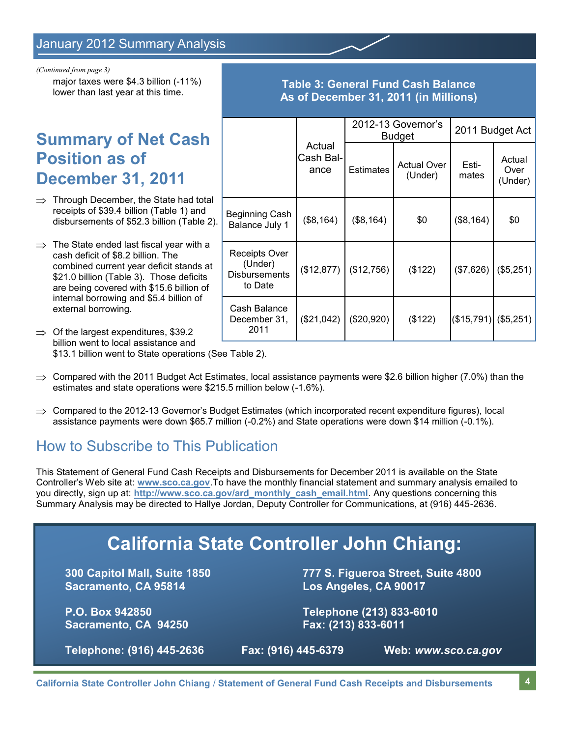*(Continued from page 3)*

major taxes were \$4.3 billion (-11%) lower than last year at this time.

# **Summary of Net Cash Position as of December 31, 2011**

- $\Rightarrow$  Through December, the State had total receipts of \$39.4 billion (Table 1) and disbursements of \$52.3 billion (Table 2).
- $\Rightarrow$  The State ended last fiscal year with a cash deficit of \$8.2 billion. The combined current year deficit stands at \$21.0 billion (Table 3). Those deficits are being covered with \$15.6 billion of internal borrowing and \$5.4 billion of external borrowing.
- $\Rightarrow$  Of the largest expenditures, \$39.2 billion went to local assistance and \$13.1 billion went to State operations (See Table 2).
- $\Rightarrow$  Compared with the 2011 Budget Act Estimates, local assistance payments were \$2.6 billion higher (7.0%) than the estimates and state operations were \$215.5 million below (-1.6%).
- $\Rightarrow$  Compared to the 2012-13 Governor's Budget Estimates (which incorporated recent expenditure figures), local assistance payments were down \$65.7 million (-0.2%) and State operations were down \$14 million (-0.1%).

## How to Subscribe to This Publication

This Statement of General Fund Cash Receipts and Disbursements for December 2011 is available on the State Controller's Web site at: **www.sco.ca.gov**.To have the monthly financial statement and summary analysis emailed to you directly, sign up at: **http://www.sco.ca.gov/ard\_monthly\_cash\_email.html**. Any questions concerning this Summary Analysis may be directed to Hallye Jordan, Deputy Controller for Communications, at (916) 445-2636.

# **California State Controller John Chiang:**

**Sacramento, CA 95814 Los Angeles, CA 90017**

**Sacramento, CA 94250 Fax: (213) 833-6011**

**300 Capitol Mall, Suite 1850 777 S. Figueroa Street, Suite 4800**

**P.O. Box 942850 Telephone (213) 833-6010**

**Telephone: (916) 445-2636 Fax: (916) 445-6379 Web:** *www.sco.ca.gov*

|                                                             |                             | 2012-13 Governor's<br><b>Budget</b> |                               | 2011 Budget Act |                           |  |
|-------------------------------------------------------------|-----------------------------|-------------------------------------|-------------------------------|-----------------|---------------------------|--|
|                                                             | Actual<br>Cash Bal-<br>ance | <b>Estimates</b>                    | <b>Actual Over</b><br>(Under) | Esti-<br>mates  | Actual<br>Over<br>(Under) |  |
| Beginning Cash<br>Balance July 1                            | (\$8, 164)                  | (\$8,164)                           | \$0                           | (\$8,164)       | \$0                       |  |
| Receipts Over<br>(Under)<br><b>Disbursements</b><br>to Date | (\$12,877)                  | (\$12,756)                          | (\$122)                       | (\$7,626)       | (\$5,251)                 |  |
| Cash Balance<br>December 31,<br>2011                        | (\$21,042)                  | (\$20,920)                          | (\$122)                       | (\$15,791)      | (\$5,251)                 |  |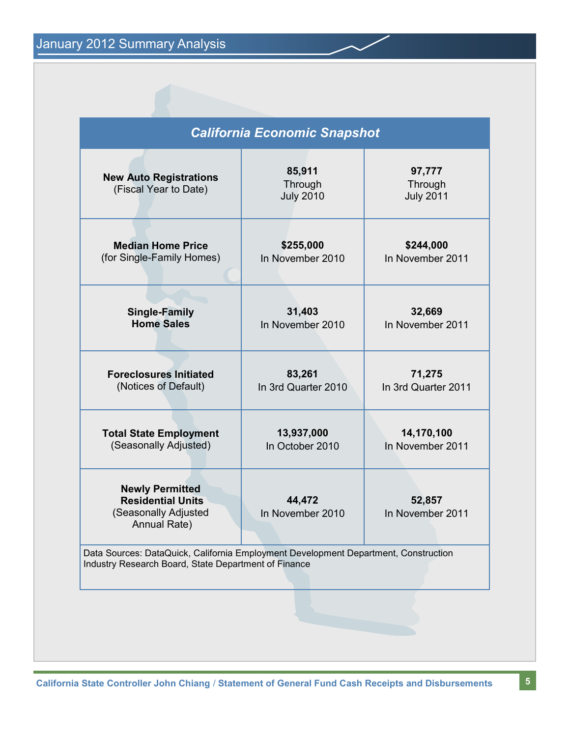| <b>California Economic Snapshot</b>                                                                                                         |                                                                                                      |  |
|---------------------------------------------------------------------------------------------------------------------------------------------|------------------------------------------------------------------------------------------------------|--|
| 85,911<br>Through<br><b>July 2010</b>                                                                                                       | 97,777<br>Through<br><b>July 2011</b><br>\$244,000<br>In November 2011<br>32,669<br>In November 2011 |  |
| \$255,000<br>In November 2010                                                                                                               |                                                                                                      |  |
| 31,403<br>In November 2010                                                                                                                  |                                                                                                      |  |
| 83,261<br>In 3rd Quarter 2010                                                                                                               | 71,275<br>In 3rd Quarter 2011                                                                        |  |
| 13,937,000<br>In October 2010                                                                                                               | 14,170,100<br>In November 2011                                                                       |  |
| 44,472<br>In November 2010                                                                                                                  | 52,857<br>In November 2011                                                                           |  |
| Data Sources: DataQuick, California Employment Development Department, Construction<br>Industry Research Board, State Department of Finance |                                                                                                      |  |
|                                                                                                                                             |                                                                                                      |  |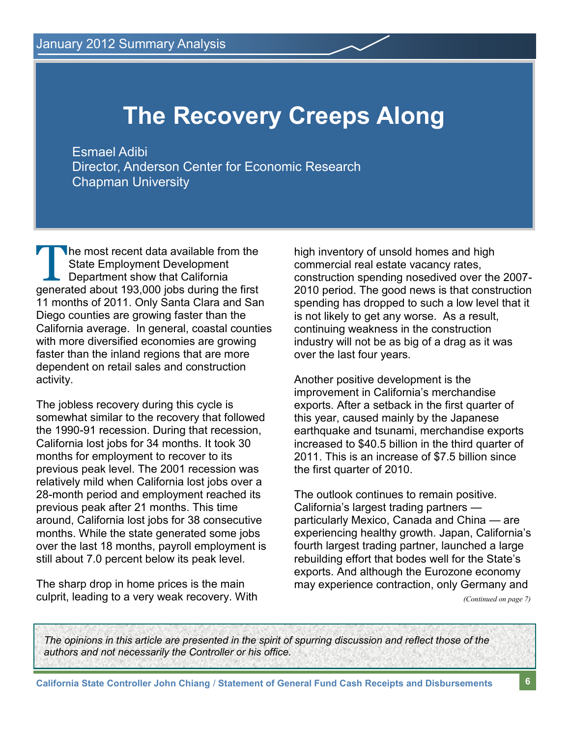# **The Recovery Creeps Along**

Esmael Adibi Director, Anderson Center for Economic Research Chapman University

The most recent data available from the<br>State Employment Development<br>Department show that California<br>generated about 193,000 jobs during the first he most recent data available from the State Employment Development Department show that California 11 months of 2011. Only Santa Clara and San Diego counties are growing faster than the California average. In general, coastal counties with more diversified economies are growing faster than the inland regions that are more dependent on retail sales and construction activity.

The jobless recovery during this cycle is somewhat similar to the recovery that followed the 1990-91 recession. During that recession, California lost jobs for 34 months. It took 30 months for employment to recover to its previous peak level. The 2001 recession was relatively mild when California lost jobs over a 28-month period and employment reached its previous peak after 21 months. This time around, California lost jobs for 38 consecutive months. While the state generated some jobs over the last 18 months, payroll employment is still about 7.0 percent below its peak level.

The sharp drop in home prices is the main culprit, leading to a very weak recovery. With high inventory of unsold homes and high commercial real estate vacancy rates, construction spending nosedived over the 2007- 2010 period. The good news is that construction spending has dropped to such a low level that it is not likely to get any worse. As a result, continuing weakness in the construction industry will not be as big of a drag as it was over the last four years.

Another positive development is the improvement in California's merchandise exports. After a setback in the first quarter of this year, caused mainly by the Japanese earthquake and tsunami, merchandise exports increased to \$40.5 billion in the third quarter of 2011. This is an increase of \$7.5 billion since the first quarter of 2010.

The outlook continues to remain positive. California's largest trading partners particularly Mexico, Canada and China — are experiencing healthy growth. Japan, California's fourth largest trading partner, launched a large rebuilding effort that bodes well for the State's exports. And although the Eurozone economy may experience contraction, only Germany and

*(Continued on page 7)*

*The opinions in this article are presented in the spirit of spurring discussion and reflect those of the authors and not necessarily the Controller or his office.*